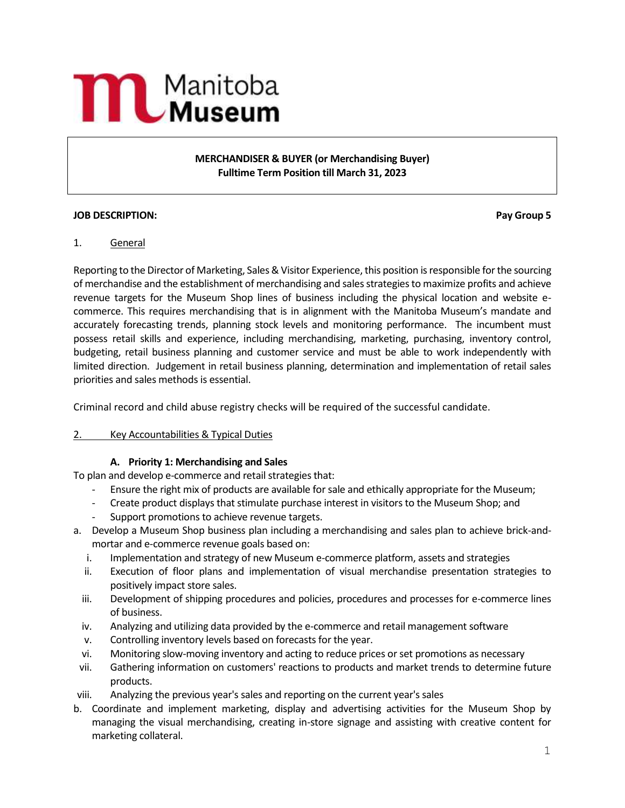# **MAND** Manitoba

**MERCHANDISER & BUYER (or Merchandising Buyer) Fulltime Term Position till March 31, 2023**

### **JOB DESCRIPTION: Pay Group 5**

### 1. General

Reporting to the Director of Marketing, Sales & Visitor Experience, this position is responsible for the sourcing of merchandise and the establishment of merchandising and sales strategies to maximize profits and achieve revenue targets for the Museum Shop lines of business including the physical location and website ecommerce. This requires merchandising that is in alignment with the Manitoba Museum's mandate and accurately forecasting trends, planning stock levels and monitoring performance. The incumbent must possess retail skills and experience, including merchandising, marketing, purchasing, inventory control, budgeting, retail business planning and customer service and must be able to work independently with limited direction. Judgement in retail business planning, determination and implementation of retail sales priorities and sales methods is essential.

Criminal record and child abuse registry checks will be required of the successful candidate.

### 2. Key Accountabilities & Typical Duties

### **A. Priority 1: Merchandising and Sales**

To plan and develop e-commerce and retail strategies that:

- Ensure the right mix of products are available for sale and ethically appropriate for the Museum;
- Create product displays that stimulate purchase interest in visitors to the Museum Shop; and
- Support promotions to achieve revenue targets.
- a. Develop a Museum Shop business plan including a merchandising and sales plan to achieve brick-andmortar and e-commerce revenue goals based on:
	- i. Implementation and strategy of new Museum e-commerce platform, assets and strategies
	- ii. Execution of floor plans and implementation of visual merchandise presentation strategies to positively impact store sales.
	- iii. Development of shipping procedures and policies, procedures and processes for e-commerce lines of business.
	- iv. Analyzing and utilizing data provided by the e-commerce and retail management software
	- v. Controlling inventory levels based on forecasts for the year.
	- vi. Monitoring slow-moving inventory and acting to reduce prices or set promotions as necessary
- vii. Gathering information on customers' reactions to products and market trends to determine future products.
- viii. Analyzing the previous year's sales and reporting on the current year's sales
- b. Coordinate and implement marketing, display and advertising activities for the Museum Shop by managing the visual merchandising, creating in-store signage and assisting with creative content for marketing collateral.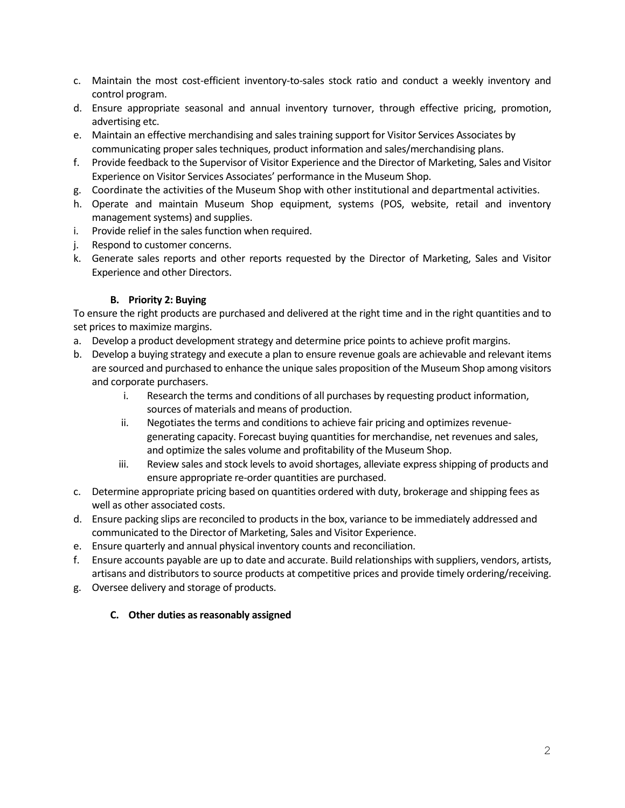- c. Maintain the most cost-efficient inventory-to-sales stock ratio and conduct a weekly inventory and control program.
- d. Ensure appropriate seasonal and annual inventory turnover, through effective pricing, promotion, advertising etc.
- e. Maintain an effective merchandising and sales training support for Visitor Services Associates by communicating proper sales techniques, product information and sales/merchandising plans.
- f. Provide feedback to the Supervisor of Visitor Experience and the Director of Marketing, Sales and Visitor Experience on Visitor Services Associates' performance in the Museum Shop.
- g. Coordinate the activities of the Museum Shop with other institutional and departmental activities.
- h. Operate and maintain Museum Shop equipment, systems (POS, website, retail and inventory management systems) and supplies.
- i. Provide relief in the sales function when required.
- j. Respond to customer concerns.
- k. Generate sales reports and other reports requested by the Director of Marketing, Sales and Visitor Experience and other Directors.

### **B. Priority 2: Buying**

To ensure the right products are purchased and delivered at the right time and in the right quantities and to set prices to maximize margins.

- a. Develop a product development strategy and determine price points to achieve profit margins.
- b. Develop a buying strategy and execute a plan to ensure revenue goals are achievable and relevant items are sourced and purchased to enhance the unique sales proposition of the Museum Shop among visitors and corporate purchasers.
	- i. Research the terms and conditions of all purchases by requesting product information, sources of materials and means of production.
	- ii. Negotiates the terms and conditions to achieve fair pricing and optimizes revenuegenerating capacity. Forecast buying quantities for merchandise, net revenues and sales, and optimize the sales volume and profitability of the Museum Shop.
	- iii. Review sales and stock levels to avoid shortages, alleviate express shipping of products and ensure appropriate re-order quantities are purchased.
- c. Determine appropriate pricing based on quantities ordered with duty, brokerage and shipping fees as well as other associated costs.
- d. Ensure packing slips are reconciled to products in the box, variance to be immediately addressed and communicated to the Director of Marketing, Sales and Visitor Experience.
- e. Ensure quarterly and annual physical inventory counts and reconciliation.
- f. Ensure accounts payable are up to date and accurate. Build relationships with suppliers, vendors, artists, artisans and distributors to source products at competitive prices and provide timely ordering/receiving.
- g. Oversee delivery and storage of products.

# **C. Other duties as reasonably assigned**